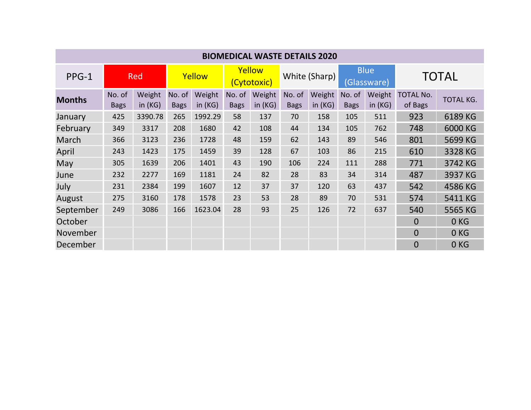| <b>BIOMEDICAL WASTE DETAILS 2020</b> |                       |                     |                       |                     |                       |                  |                       |                  |                            |                     |                             |                  |
|--------------------------------------|-----------------------|---------------------|-----------------------|---------------------|-----------------------|------------------|-----------------------|------------------|----------------------------|---------------------|-----------------------------|------------------|
| PPG-1                                | Red                   |                     | Yellow                |                     | Yellow<br>(Cytotoxic) |                  | White (Sharp)         |                  | <b>Blue</b><br>(Glassware) |                     | <b>TOTAL</b>                |                  |
| <b>Months</b>                        | No. of<br><b>Bags</b> | Weight<br>in $(KG)$ | No. of<br><b>Bags</b> | Weight<br>in $(KG)$ | No. of<br><b>Bags</b> | Weight<br>in(KG) | No. of<br><b>Bags</b> | Weight<br>in(KG) | No. of<br><b>Bags</b>      | Weight<br>in $(KG)$ | <b>TOTAL No.</b><br>of Bags | <b>TOTAL KG.</b> |
| January                              | 425                   | 3390.78             | 265                   | 1992.29             | 58                    | 137              | 70                    | 158              | 105                        | 511                 | 923                         | 6189 KG          |
| February                             | 349                   | 3317                | 208                   | 1680                | 42                    | 108              | 44                    | 134              | 105                        | 762                 | 748                         | 6000 KG          |
| March                                | 366                   | 3123                | 236                   | 1728                | 48                    | 159              | 62                    | 143              | 89                         | 546                 | 801                         | 5699 KG          |
| April                                | 243                   | 1423                | 175                   | 1459                | 39                    | 128              | 67                    | 103              | 86                         | 215                 | 610                         | 3328 KG          |
| May                                  | 305                   | 1639                | 206                   | 1401                | 43                    | 190              | 106                   | 224              | 111                        | 288                 | 771                         | 3742 KG          |
| June                                 | 232                   | 2277                | 169                   | 1181                | 24                    | 82               | 28                    | 83               | 34                         | 314                 | 487                         | 3937 KG          |
| July                                 | 231                   | 2384                | 199                   | 1607                | 12                    | 37               | 37                    | 120              | 63                         | 437                 | 542                         | 4586 KG          |
| August                               | 275                   | 3160                | 178                   | 1578                | 23                    | 53               | 28                    | 89               | 70                         | 531                 | 574                         | 5411 KG          |
| September                            | 249                   | 3086                | 166                   | 1623.04             | 28                    | 93               | 25                    | 126              | 72                         | 637                 | 540                         | 5565 KG          |
| October                              |                       |                     |                       |                     |                       |                  |                       |                  |                            |                     | $\Omega$                    | 0 <sub>KG</sub>  |
| November                             |                       |                     |                       |                     |                       |                  |                       |                  |                            |                     | $\overline{0}$              | 0 <sub>KG</sub>  |
| December                             |                       |                     |                       |                     |                       |                  |                       |                  |                            |                     | $\overline{0}$              | 0 <sub>KG</sub>  |